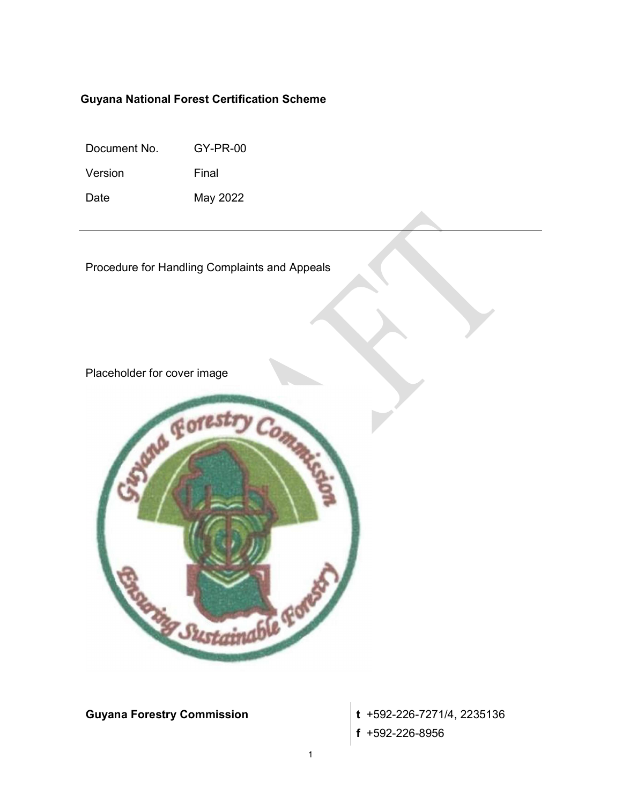## Guyana National Forest Certification Scheme

Document No. GY-PR-00

Version Final

Date May 2022

Procedure for Handling Complaints and Appeals

Placeholder for cover image



**Guyana Forestry Commission**  $\mathbf{t}$  +592-226-7271/4, 2235136 f +592-226-8956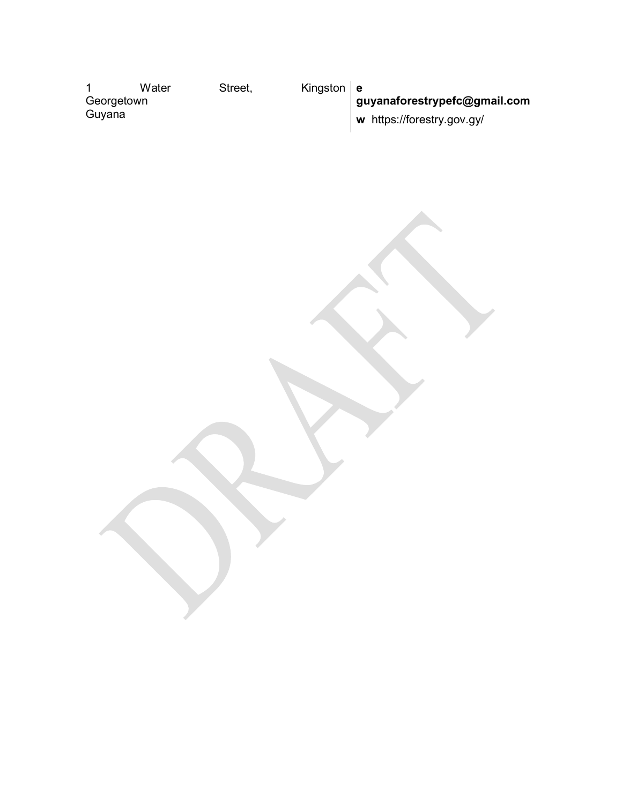|            | Water | Street, | Kingston $ e $ |                              |
|------------|-------|---------|----------------|------------------------------|
| Georgetown |       |         |                | guyanaforestrypefc@gmail.com |
| Guyana     |       |         |                | w https://forestry.gov.gy/   |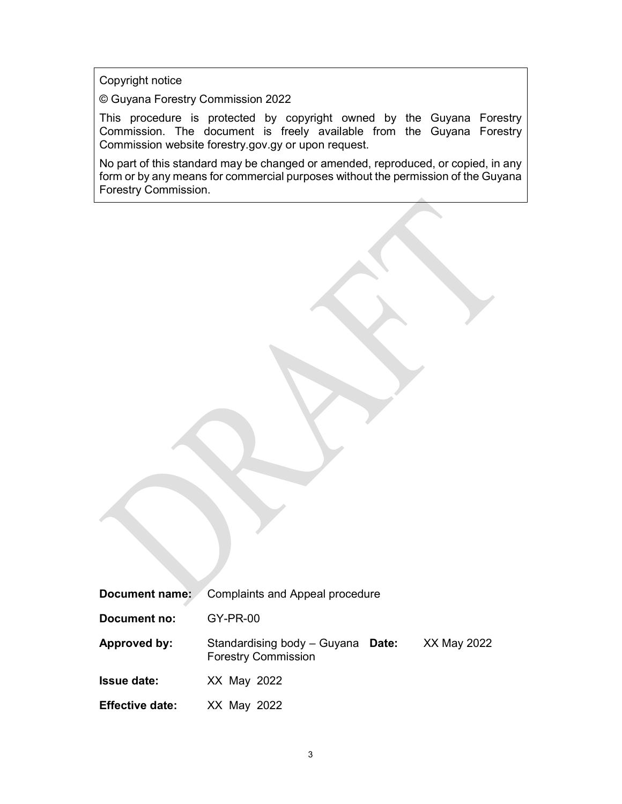Copyright notice

© Guyana Forestry Commission 2022

This procedure is protected by copyright owned by the Guyana Forestry Commission. The document is freely available from the Guyana Forestry Commission website forestry.gov.gy or upon request.

No part of this standard may be changed or amended, reproduced, or copied, in any form or by any means for commercial purposes without the permission of the Guyana Forestry Commission.

| Document name:         | <b>Complaints and Appeal procedure</b>                          |             |
|------------------------|-----------------------------------------------------------------|-------------|
| Document no:           | $GY-PR-00$                                                      |             |
| Approved by:           | Standardising body - Guyana Date:<br><b>Forestry Commission</b> | XX May 2022 |
| <b>Issue date:</b>     | XX May 2022                                                     |             |
| <b>Effective date:</b> | XX May 2022                                                     |             |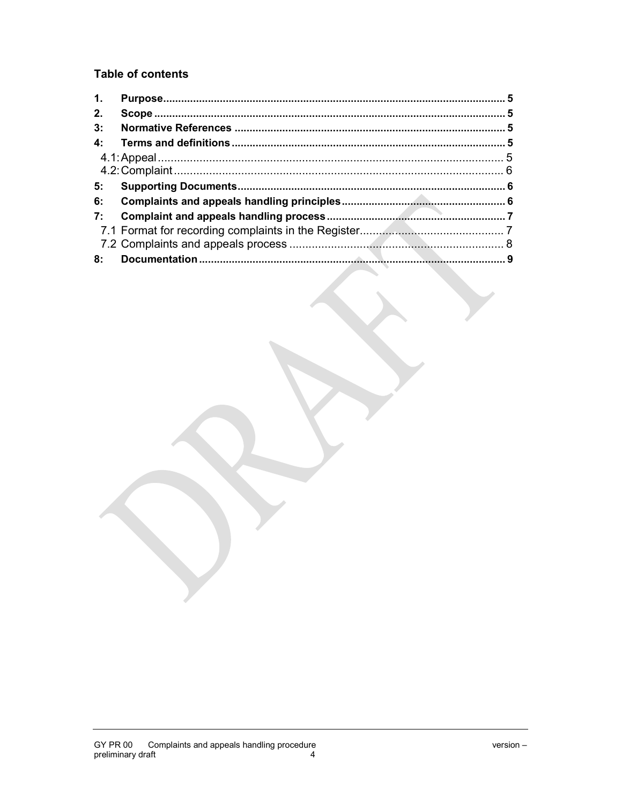# **Table of contents**

| 1.          |  |
|-------------|--|
| 2.          |  |
| 3:          |  |
| $4^{\cdot}$ |  |
|             |  |
|             |  |
| 5:          |  |
| 6:          |  |
| 7:          |  |
|             |  |
|             |  |
| 8:          |  |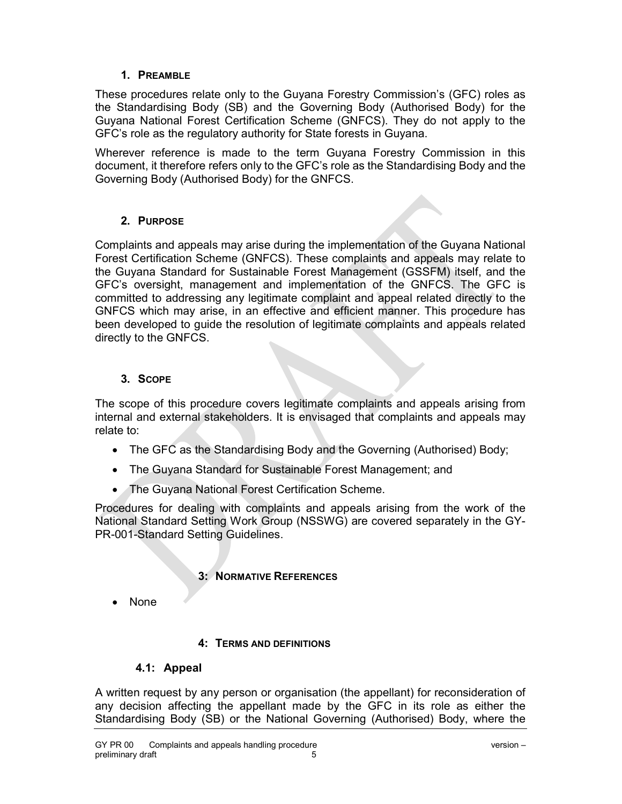## 1. PREAMBLE

These procedures relate only to the Guyana Forestry Commission's (GFC) roles as the Standardising Body (SB) and the Governing Body (Authorised Body) for the Guyana National Forest Certification Scheme (GNFCS). They do not apply to the GFC's role as the regulatory authority for State forests in Guyana.

Wherever reference is made to the term Guyana Forestry Commission in this document, it therefore refers only to the GFC's role as the Standardising Body and the Governing Body (Authorised Body) for the GNFCS.

# 2. PURPOSE

Complaints and appeals may arise during the implementation of the Guyana National Forest Certification Scheme (GNFCS). These complaints and appeals may relate to the Guyana Standard for Sustainable Forest Management (GSSFM) itself, and the GFC's oversight, management and implementation of the GNFCS. The GFC is committed to addressing any legitimate complaint and appeal related directly to the GNFCS which may arise, in an effective and efficient manner. This procedure has been developed to guide the resolution of legitimate complaints and appeals related directly to the GNFCS.

## 3. SCOPE

The scope of this procedure covers legitimate complaints and appeals arising from internal and external stakeholders. It is envisaged that complaints and appeals may relate to:

- The GFC as the Standardising Body and the Governing (Authorised) Body;
- The Guyana Standard for Sustainable Forest Management; and
- The Guyana National Forest Certification Scheme.

Procedures for dealing with complaints and appeals arising from the work of the National Standard Setting Work Group (NSSWG) are covered separately in the GY-PR-001-Standard Setting Guidelines.

## 3: NORMATIVE REFERENCES

None

## 4: TERMS AND DEFINITIONS

## 4.1: Appeal

A written request by any person or organisation (the appellant) for reconsideration of any decision affecting the appellant made by the GFC in its role as either the Standardising Body (SB) or the National Governing (Authorised) Body, where the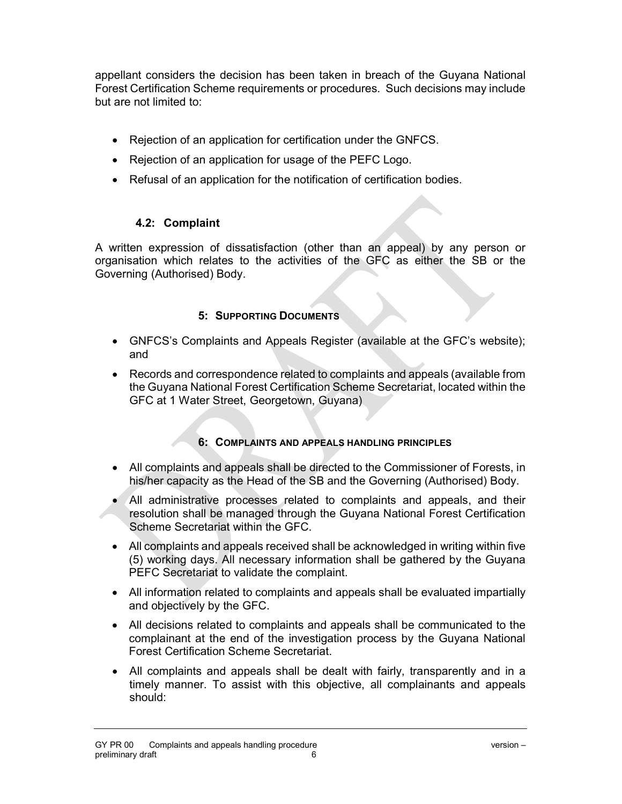appellant considers the decision has been taken in breach of the Guyana National Forest Certification Scheme requirements or procedures. Such decisions may include but are not limited to:

- Rejection of an application for certification under the GNFCS.
- Rejection of an application for usage of the PEFC Logo.
- Refusal of an application for the notification of certification bodies.

## 4.2: Complaint

A written expression of dissatisfaction (other than an appeal) by any person or organisation which relates to the activities of the GFC as either the SB or the Governing (Authorised) Body.

# 5: SUPPORTING DOCUMENTS

- GNFCS's Complaints and Appeals Register (available at the GFC's website); and
- Records and correspondence related to complaints and appeals (available from the Guyana National Forest Certification Scheme Secretariat, located within the GFC at 1 Water Street, Georgetown, Guyana)

## 6: COMPLAINTS AND APPEALS HANDLING PRINCIPLES

- All complaints and appeals shall be directed to the Commissioner of Forests, in his/her capacity as the Head of the SB and the Governing (Authorised) Body.
- All administrative processes related to complaints and appeals, and their resolution shall be managed through the Guyana National Forest Certification Scheme Secretariat within the GFC.
- All complaints and appeals received shall be acknowledged in writing within five (5) working days. All necessary information shall be gathered by the Guyana PEFC Secretariat to validate the complaint.
- All information related to complaints and appeals shall be evaluated impartially and objectively by the GFC.
- All decisions related to complaints and appeals shall be communicated to the complainant at the end of the investigation process by the Guyana National Forest Certification Scheme Secretariat.
- All complaints and appeals shall be dealt with fairly, transparently and in a timely manner. To assist with this objective, all complainants and appeals should: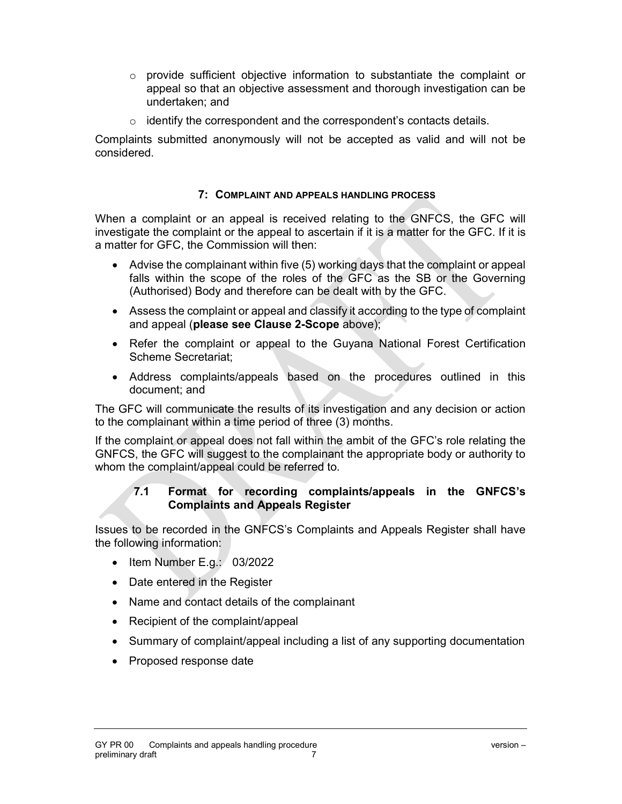- $\circ$  provide sufficient objective information to substantiate the complaint or appeal so that an objective assessment and thorough investigation can be undertaken; and
- $\circ$  identify the correspondent and the correspondent's contacts details.

Complaints submitted anonymously will not be accepted as valid and will not be considered.

#### 7: COMPLAINT AND APPEALS HANDLING PROCESS

When a complaint or an appeal is received relating to the GNFCS, the GFC will investigate the complaint or the appeal to ascertain if it is a matter for the GFC. If it is a matter for GFC, the Commission will then:

- Advise the complainant within five (5) working days that the complaint or appeal falls within the scope of the roles of the GFC as the SB or the Governing (Authorised) Body and therefore can be dealt with by the GFC.
- Assess the complaint or appeal and classify it according to the type of complaint and appeal (please see Clause 2-Scope above);
- Refer the complaint or appeal to the Guyana National Forest Certification Scheme Secretariat;
- Address complaints/appeals based on the procedures outlined in this document; and

The GFC will communicate the results of its investigation and any decision or action to the complainant within a time period of three (3) months.

If the complaint or appeal does not fall within the ambit of the GFC's role relating the GNFCS, the GFC will suggest to the complainant the appropriate body or authority to whom the complaint/appeal could be referred to.

#### 7.1 Format for recording complaints/appeals in the GNFCS's Complaints and Appeals Register

Issues to be recorded in the GNFCS's Complaints and Appeals Register shall have the following information:

- $\bullet$  Item Number E.g.: 03/2022
- Date entered in the Register
- Name and contact details of the complainant
- Recipient of the complaint/appeal
- Summary of complaint/appeal including a list of any supporting documentation
- Proposed response date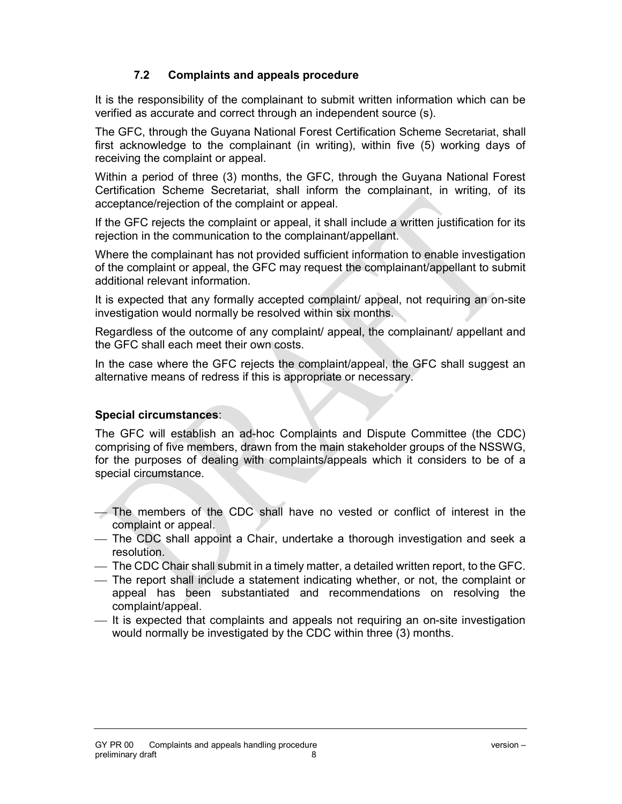# 7.2 Complaints and appeals procedure

It is the responsibility of the complainant to submit written information which can be verified as accurate and correct through an independent source (s).

The GFC, through the Guyana National Forest Certification Scheme Secretariat, shall first acknowledge to the complainant (in writing), within five (5) working days of receiving the complaint or appeal.

Within a period of three (3) months, the GFC, through the Guyana National Forest Certification Scheme Secretariat, shall inform the complainant, in writing, of its acceptance/rejection of the complaint or appeal.

If the GFC rejects the complaint or appeal, it shall include a written justification for its rejection in the communication to the complainant/appellant.

Where the complainant has not provided sufficient information to enable investigation of the complaint or appeal, the GFC may request the complainant/appellant to submit additional relevant information.

It is expected that any formally accepted complaint/ appeal, not requiring an on-site investigation would normally be resolved within six months.

Regardless of the outcome of any complaint/ appeal, the complainant/ appellant and the GFC shall each meet their own costs.

In the case where the GFC rejects the complaint/appeal, the GFC shall suggest an alternative means of redress if this is appropriate or necessary.

#### Special circumstances:

The GFC will establish an ad-hoc Complaints and Dispute Committee (the CDC) comprising of five members, drawn from the main stakeholder groups of the NSSWG, for the purposes of dealing with complaints/appeals which it considers to be of a special circumstance.

- The members of the CDC shall have no vested or conflict of interest in the complaint or appeal.
- The CDC shall appoint a Chair, undertake a thorough investigation and seek a resolution.
- The CDC Chair shall submit in a timely matter, a detailed written report, to the GFC.
- The report shall include a statement indicating whether, or not, the complaint or appeal has been substantiated and recommendations on resolving the complaint/appeal.
- $-$  It is expected that complaints and appeals not requiring an on-site investigation would normally be investigated by the CDC within three (3) months.